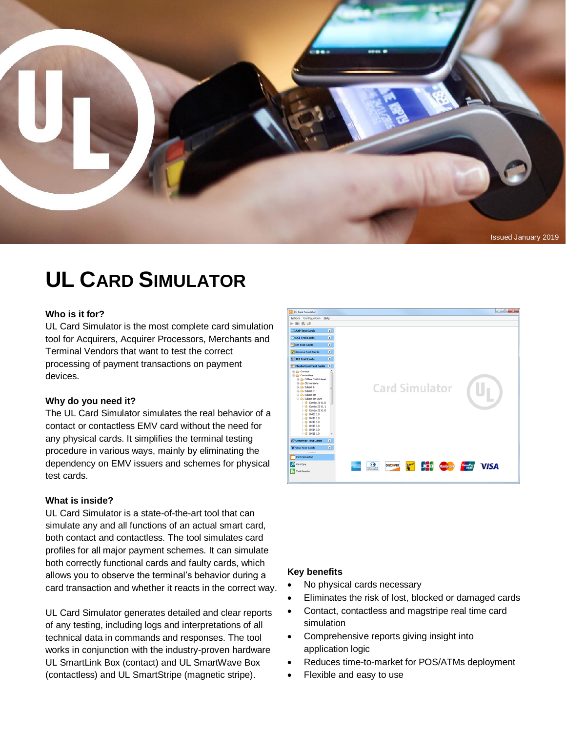

# **UL CARD SIMULATOR**

#### **Who is it for?**

UL Card Simulator is the most complete card simulation tool for Acquirers, Acquirer Processors, Merchants and Terminal Vendors that want to test the correct processing of payment transactions on payment devices.

#### **Why do you need it?**

The UL Card Simulator simulates the real behavior of a contact or contactless EMV card without the need for any physical cards. It simplifies the terminal testing procedure in various ways, mainly by eliminating the dependency on EMV issuers and schemes for physical test cards.

#### **What is inside?**

UL Card Simulator is a state-of-the-art tool that can simulate any and all functions of an actual smart card, both contact and contactless. The tool simulates card profiles for all major payment schemes. It can simulate both correctly functional cards and faulty cards, which allows you to observe the terminal's behavior during a card transaction and whether it reacts in the correct way.

UL Card Simulator generates detailed and clear reports of any testing, including logs and interpretations of all technical data in commands and responses. The tool works in conjunction with the industry-proven hardware UL SmartLink Box (contact) and UL SmartWave Box (contactless) and UL SmartStripe (magnetic stripe).



#### **Key benefits**

- No physical cards necessary
- Eliminates the risk of lost, blocked or damaged cards
- Contact, contactless and magstripe real time card simulation
- Comprehensive reports giving insight into application logic
- Reduces time-to-market for POS/ATMs deployment
- Flexible and easy to use